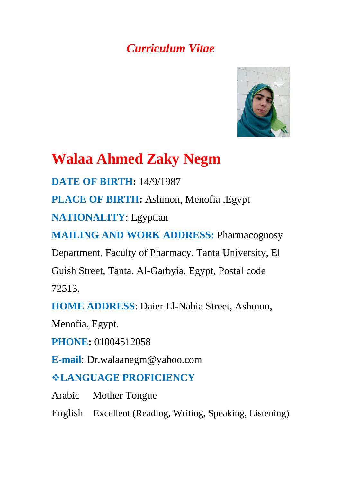# *Curriculum Vitae*



# **Walaa Ahmed Zaky Negm**

**DATE OF BIRTH:** 14/9/1987

**PLACE OF BIRTH:** Ashmon, Menofia ,Egypt

**NATIONALITY**: Egyptian

**MAILING AND WORK ADDRESS: Pharmacognosy** 

Department, Faculty of Pharmacy, Tanta University, El

Guish Street, Tanta, Al-Garbyia, Egypt, Postal code

72513.

**HOME ADDRESS**: Daier El-Nahia Street, Ashmon,

Menofia, Egypt.

**PHONE:** 01004512058

**E-mail**: Dr.walaanegm@yahoo.com

## **LANGUAGE PROFICIENCY**

Arabic Mother Tongue

English Excellent (Reading, Writing, Speaking, Listening)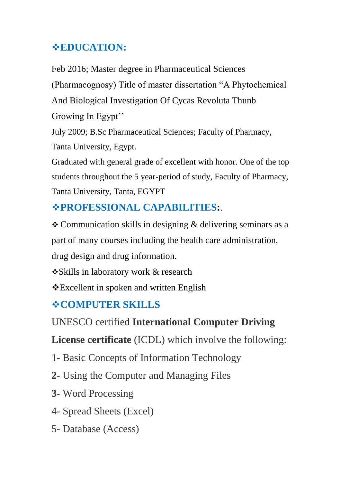## **EDUCATION:**

Feb 2016; Master degree in Pharmaceutical Sciences (Pharmacognosy) Title of master dissertation "A Phytochemical And Biological Investigation Of Cycas Revoluta Thunb Growing In Egypt'' July 2009; B.Sc Pharmaceutical Sciences; Faculty of Pharmacy,

Tanta University, Egypt.

Graduated with general grade of excellent with honor. One of the top students throughout the 5 year-period of study, Faculty of Pharmacy, Tanta University, Tanta, EGYPT

# **PROFESSIONAL CAPABILITIES:**.

 Communication skills in designing & delivering seminars as a part of many courses including the health care administration, drug design and drug information.

Skills in laboratory work & research

Excellent in spoken and written English

# **COMPUTER SKILLS**

### UNESCO certified **International Computer Driving**

**License certificate** (ICDL) which involve the following:

- 1- Basic Concepts of Information Technology
- **2-** Using the Computer and Managing Files
- **3-** Word Processing
- 4- Spread Sheets (Excel)
- 5- Database (Access)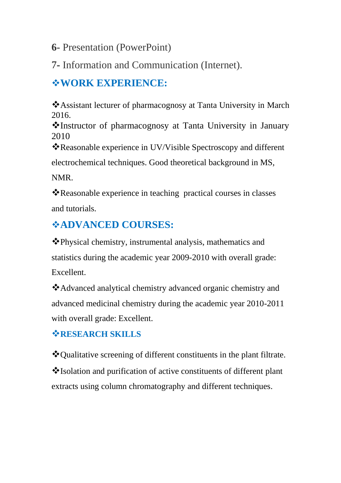#### **6-** Presentation (PowerPoint)

7- Information and Communication (Internet).

### **WORK EXPERIENCE:**

Assistant lecturer of pharmacognosy at Tanta University in March 2016.

Instructor of pharmacognosy at Tanta University in January 2010

Reasonable experience in UV/Visible Spectroscopy and different

electrochemical techniques. Good theoretical background in MS,

NMR.

Reasonable experience in teaching practical courses in classes and tutorials.

# **ADVANCED COURSES:**

Physical chemistry, instrumental analysis, mathematics and statistics during the academic year 2009-2010 with overall grade: Excellent.

Advanced analytical chemistry advanced organic chemistry and advanced medicinal chemistry during the academic year 2010-2011 with overall grade: Excellent.

#### **RESEARCH SKILLS**

Qualitative screening of different constituents in the plant filtrate. Isolation and purification of active constituents of different plant extracts using column chromatography and different techniques.